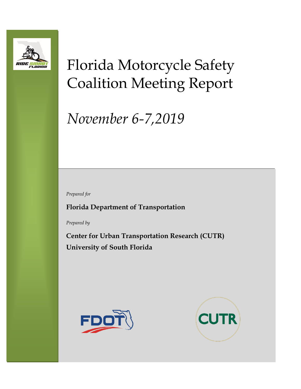

# Florida Motorcycle Safety Coalition Meeting Report

# *November 6-7,2019*

*Prepared for*

**Florida Department of Transportation**

*Prepared by*

**Center for Urban Transportation Research (CUTR) University of South Florida**



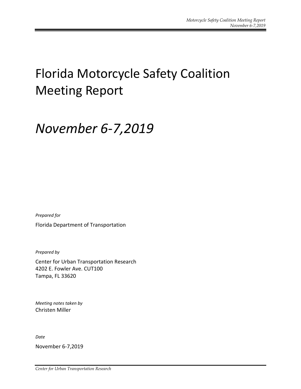## Florida Motorcycle Safety Coalition Meeting Report

## *November 6-7,2019*

*Prepared for* Florida Department of Transportation

*Prepared by*

Center for Urban Transportation Research 4202 E. Fowler Ave. CUT100 Tampa, FL 33620

*Meeting notes taken by* Christen Miller

*Date*

November 6-7,2019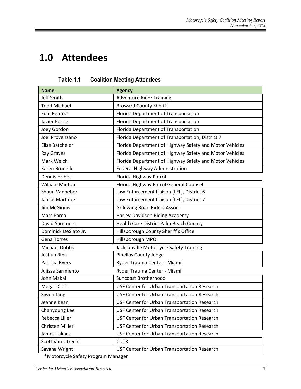### **1.0 Attendees**

| <b>Name</b>           | <b>Agency</b>                                           |  |  |
|-----------------------|---------------------------------------------------------|--|--|
| Jeff Smith            | <b>Adventure Rider Training</b>                         |  |  |
| <b>Todd Michael</b>   | <b>Broward County Sheriff</b>                           |  |  |
| Edie Peters*          | Florida Department of Transportation                    |  |  |
| Javier Ponce          | Florida Department of Transportation                    |  |  |
| Joey Gordon           | Florida Department of Transportation                    |  |  |
| Joel Provenzano       | Florida Department of Transportation, District 7        |  |  |
| Elise Batchelor       | Florida Department of Highway Safety and Motor Vehicles |  |  |
| Ray Graves            | Florida Department of Highway Safety and Motor Vehicles |  |  |
| Mark Welch            | Florida Department of Highway Safety and Motor Vehicles |  |  |
| Karen Brunelle        | Federal Highway Administration                          |  |  |
| <b>Dennis Hobbs</b>   | Florida Highway Patrol                                  |  |  |
| <b>William Minton</b> | Florida Highway Patrol General Counsel                  |  |  |
| Shaun Vanbeber        | Law Enforcement Liaison (LEL), District 6               |  |  |
| Janice Martinez       | Law Enforcement Liaison (LEL), District 7               |  |  |
| <b>Jim McGinnis</b>   | Goldwing Road Riders Assoc.                             |  |  |
| Marc Parco            | Harley-Davidson Riding Academy                          |  |  |
| <b>David Summers</b>  | Health Care District Palm Beach County                  |  |  |
| Dominick DeSiato Jr.  | Hillsborough County Sheriff's Office                    |  |  |
| <b>Gena Torres</b>    | Hillsborough MPO                                        |  |  |
| <b>Michael Dobbs</b>  | Jacksonville Motorcycle Safety Training                 |  |  |
| Joshua Riba           | <b>Pinellas County Judge</b>                            |  |  |
| Patricia Byers        | Ryder Trauma Center - Miami                             |  |  |
| Julissa Sarmiento     | Ryder Trauma Center - Miami                             |  |  |
| John Makal            | <b>Suncoast Brotherhood</b>                             |  |  |
| Megan Cott            | USF Center for Urban Transportation Research            |  |  |
| Siwon Jang            | USF Center for Urban Transportation Research            |  |  |
| Jeanne Kean           | USF Center for Urban Transportation Research            |  |  |
| Chanyoung Lee         | USF Center for Urban Transportation Research            |  |  |
| Rebecca Liller        | USF Center for Urban Transportation Research            |  |  |
| Christen Miller       | USF Center for Urban Transportation Research            |  |  |
| James Takacs          | USF Center for Urban Transportation Research            |  |  |
| Scott Van Utrecht     | <b>CUTR</b>                                             |  |  |
| Savana Wright         | USF Center for Urban Transportation Research            |  |  |

**Table 1.1 Coalition Meeting Attendees**

\*Motorcycle Safety Program Manager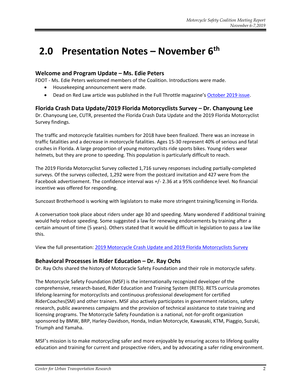## **2.0 Presentation Notes – November 6 th**

#### **Welcome and Program Update – Ms. Edie Peters**

FDOT - Ms. Edie Peters welcomed members of the Coalition. Introductions were made.

- Housekeeping announcement were made.
- Dead on Red Law article was published in the Full Throttle magazine's [October 2019 issue.](https://issuu.com/tonyc123/docs/flft_oct_2019_final_web_copy_2/62)

#### **Florida Crash Data Update/2019 Florida Motorcyclists Survey – Dr. Chanyoung Lee**

Dr. Chanyoung Lee, CUTR, presented the Florida Crash Data Update and the 2019 Florida Motorcyclist Survey findings.

The traffic and motorcycle fatalities numbers for 2018 have been finalized. There was an increase in traffic fatalities and a decrease in motorcycle fatalities. Ages 15-30 represent 40% of serious and fatal crashes in Florida. A large proportion of young motorcyclists ride sports bikes. Young riders wear helmets, but they are prone to speeding. This population is particularly difficult to reach.

The 2019 Florida Motorcyclist Survey collected 1,716 survey responses including partially-completed surveys. Of the surveys collected, 1,292 were from the postcard invitation and 427 were from the Facebook advertisement. The confidence interval was +/- 2.36 at a 95% confidence level. No financial incentive was offered for responding.

Suncoast Brotherhood is working with legislators to make more stringent training/licensing in Florida.

A conversation took place about riders under age 30 and speeding. Many wondered if additional training would help reduce speeding. Some suggested a law for renewing endorsements by training after a certain amount of time (5 years). Others stated that it would be difficult in legislation to pass a law like this.

View the full presentation: [2019 Motorcycle Crash Update and 2019 Florida Motorcyclists Survey](https://usfedu-my.sharepoint.com/:b:/g/personal/christenm_usf_edu/EQoa69-Zh_dOgOky2pvTrLEBLtx7jbV4U3hffUTZpMLqKg?e=Ue80vv)

#### **Behavioral Processes in Rider Education – Dr. Ray Ochs**

Dr. Ray Ochs shared the history of Motorcycle Safety Foundation and their role in motorcycle safety.

The Motorcycle Safety Foundation (MSF) is the internationally recognized developer of the comprehensive, research-based, Rider Education and Training System (RETS). RETS curricula promotes lifelong-learning for motorcyclists and continuous professional development for certified RiderCoaches(SM) and other trainers. MSF also actively participates in government relations, safety research, public awareness campaigns and the provision of technical assistance to state training and licensing programs. The Motorcycle Safety Foundation is a national, not-for-profit organization sponsored by BMW, BRP, Harley-Davidson, Honda, Indian Motorcycle, Kawasaki, KTM, Piaggio, Suzuki, Triumph and Yamaha.

MSF's mission is to make motorcycling safer and more enjoyable by ensuring access to lifelong quality education and training for current and prospective riders, and by advocating a safer riding environment.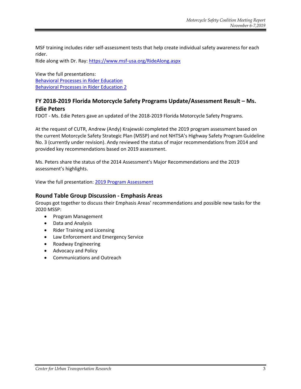MSF training includes rider self-assessment tests that help create individual safety awareness for each rider.

Ride along with Dr. Ray:<https://www.msf-usa.org/RideAlong.aspx>

View the full presentations: [Behavioral Processes in Rider Education](https://usfedu-my.sharepoint.com/:b:/g/personal/christenm_usf_edu/EVwElvBRx2hLpfy7x1WrR8kBW5XN7qiMzLL2y7v_WATE5Q?e=87ch9l) [Behavioral Processes in Rider Education 2](https://usfedu-my.sharepoint.com/:b:/g/personal/christenm_usf_edu/EQ1NbmhXHh1BpApFhdEFlWIBiAyHzYwW7Dby6Qj9UGbuaA?e=XTMhhc)

#### **FY 2018-2019 Florida Motorcycle Safety Programs Update/Assessment Result – Ms. Edie Peters**

FDOT - Ms. Edie Peters gave an updated of the 2018-2019 Florida Motorcycle Safety Programs.

At the request of CUTR, Andrew (Andy) Krajewski completed the 2019 program assessment based on the current Motorcycle Safety Strategic Plan (MSSP) and not NHTSA's Highway Safety Program Guideline No. 3 (currently under revision). Andy reviewed the status of major recommendations from 2014 and provided key recommendations based on 2019 assessment.

Ms. Peters share the status of the 2014 Assessment's Major Recommendations and the 2019 assessment's highlights.

View the full presentation: [2019 Program Assessment](https://usfedu-my.sharepoint.com/:b:/g/personal/christenm_usf_edu/EYTh7PVIV0xGs2xnog38mU0BfCwmqrjpf0qQQvZOzNVZcg?e=PBc9kz)

#### **Round Table Group Discussion - Emphasis Areas**

Groups got together to discuss their Emphasis Areas' recommendations and possible new tasks for the 2020 MSSP:

- Program Management
- Data and Analysis
- Rider Training and Licensing
- Law Enforcement and Emergency Service
- Roadway Engineering
- Advocacy and Policy
- Communications and Outreach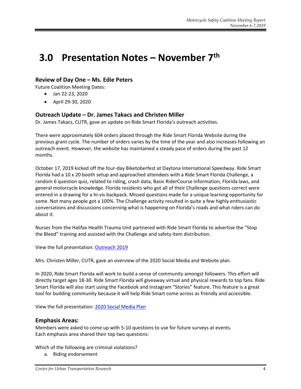### **3.0 Presentation Notes – November 7 th**

#### **Review of Day One – Ms. Edie Peters**

Future Coalition Meeting Dates:

- Jan 22-23, 2020
- April 29-30, 2020

#### **Outreach Update – Dr. James Takacs and Christen Miller**

Dr. James Takacs, CUTR, gave an update on Ride Smart Florida's outreach activities.

There were approximately 604 orders placed through the Ride Smart Florida Website during the previous grant cycle. The number of orders varies by the time of the year and also increases following an outreach event. However, the website has maintained a steady pace of orders during the past 12 months.

October 17, 2019 kicked off the four-day Biketoberfest at Daytona International Speedway. Ride Smart Florida had a 10 x 20 booth setup and approached attendees with a Ride Smart Florida Challenge, a random 6 question quiz, related to riding, crash data, Basic RiderCourse information, Florida laws, and general motorcycle knowledge. Florida residents who got all of their Challenge questions correct were entered in a drawing for a hi-vis backpack. Missed questions made for a unique learning opportunity for some. Not many people got a 100%. The Challenge activity resulted in quite a few highly enthusiastic conversations and discussions concerning what is happening on Florida's roads and what riders can do about it.

Nurses from the Halifax Health Trauma Unit partnered with Ride Smart Florida to advertise the "Stop the Bleed" training and assisted with the Challenge and safety item distribution.

View the full presentation: [Outreach 2019](https://usfedu-my.sharepoint.com/:b:/g/personal/christenm_usf_edu/EatlDHhu0whJhuKLM1SW4pkBGmTJfoM8qaDJs_U_Nqz_iQ?e=t44hef)

Mrs. Christen Miller, CUTR, gave an overview of the 2020 Social Media and Website plan.

In 2020, Ride Smart Florida will work to build a sense of community amongst followers. This effort will directly target ages 18-30. Ride Smart Florida will giveaway virtual and physical rewards to top fans. Ride Smart Florida will also start using the Facebook and Instagram "Stories" feature. This feature is a great tool for building community because it will help Ride Smart come across as friendly and accessible.

View the full presentation: [2020 Social Media Plan](https://usfedu-my.sharepoint.com/:b:/g/personal/christenm_usf_edu/EXRUQcyyBL5HrtcwTB7SwT8BwOEhU5U0t9Cl1bqG0qcOeQ?e=zaSk6Z)

#### **Emphasis Areas:**

Members were asked to come up with 5-10 questions to use for future surveys at events. Each emphasis area shared their top two questions:

Which of the following are criminal violations?

a. Riding endorsement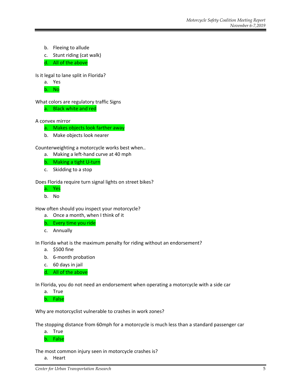- b. Fleeing to allude
- c. Stunt riding (cat walk)
- d. All of the above

Is it legal to lane split in Florida?



b. No

What colors are regulatory traffic Signs a. Black white and red

A convex mirror

- a. Makes objects look farther away
- b. Make objects look nearer

Counterweighting a motorcycle works best when..

- a. Making a left-hand curve at 40 mph
- b. Making a tight U-turn
- c. Skidding to a stop

Does Florida require turn signal lights on street bikes?

- a. Yes
- b. No

How often should you inspect your motorcycle?

- a. Once a month, when I think of it
- b. Every time you ride
- c. Annually

In Florida what is the maximum penalty for riding without an endorsement?

- a. \$500 fine
- b. 6-month probation
- c. 60 days in jail
- d. All of the above

In Florida, you do not need an endorsement when operating a motorcycle with a side car

- a. True
- b. False

Why are motorcyclist vulnerable to crashes in work zones?

The stopping distance from 60mph for a motorcycle is much less than a standard passenger car

a. True

b. False

The most common injury seen in motorcycle crashes is?

a. Heart